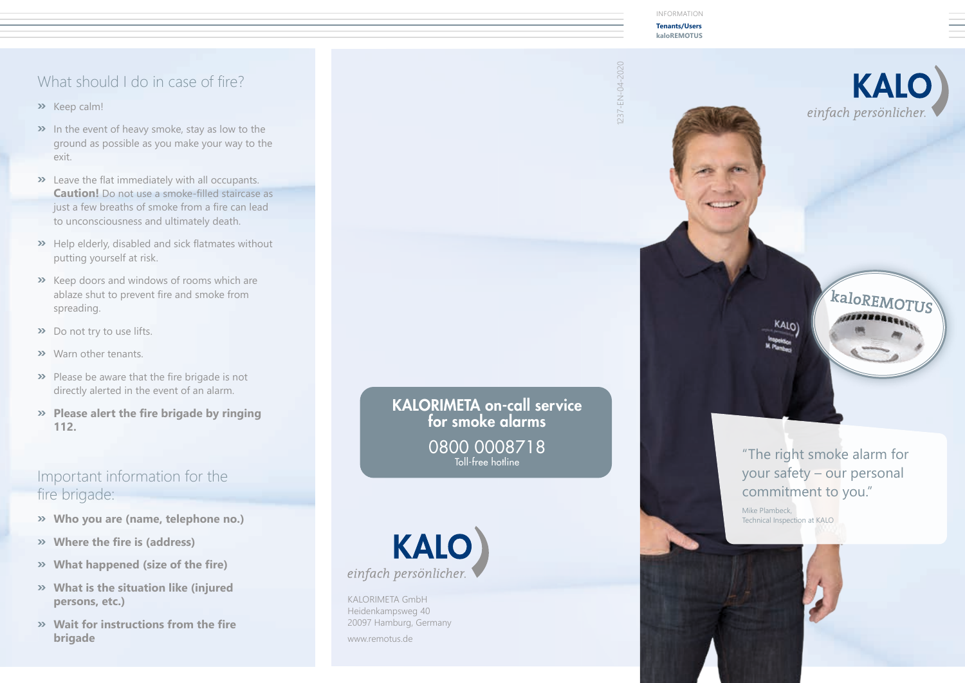### What should I do in case of fire?

- **»** Keep calm!
- **»** In the event of heavy smoke, stay as low to the ground as possible as you make your way to the exit.
- **»** Leave the flat immediately with all occupants. **Caution!** Do not use a smoke-filled staircase as just a few breaths of smoke from a fire can lead to unconsciousness and ultimately death.
- **»** Help elderly, disabled and sick flatmates without putting yourself at risk.
- **»** Keep doors and windows of rooms which are ablaze shut to prevent fire and smoke from spreading.
- **»** Do not try to use lifts.
- **»** Warn other tenants.
- **»** Please be aware that the fire brigade is not directly alerted in the event of an alarm.
- **» Please alert the fire brigade by ringing 112.**

### Important information for the fire brigade:

- **» Who you are (name, telephone no.)**
- **» Where the fire is (address)**
- **» What happened (size of the fire)**
- **» What is the situation like (injured persons, etc.)**
- **» Wait for instructions from the fire brigade**

KALORIMETA on-call service for smoke alarms 0800 0008718 Toll-free hotline



KALORIMETA GmbH Heidenkampsweg 40 20097 Hamburg, Germany www.remotus.de

INFORMATION

**Tenants/Users kaloREMOTUS**